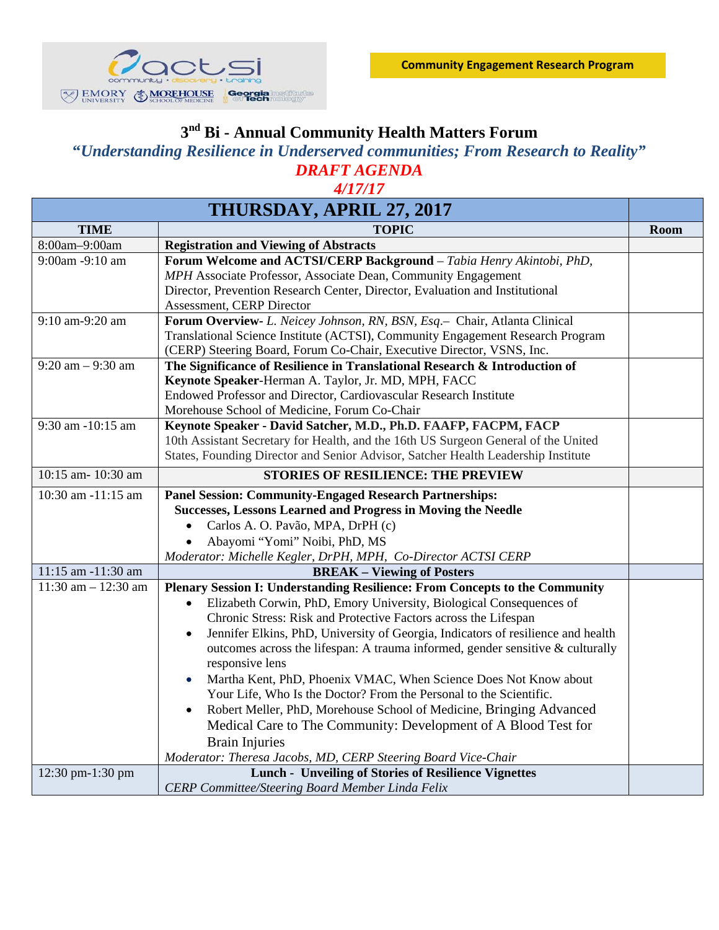

## **3nd Bi - Annual Community Health Matters Forum**

**"***Understanding Resilience in Underserved communities; From Research to Reality"* 

*DRAFT AGENDA* 

*4/17/17* 

| THURSDAY, APRIL 27, 2017            |                                                                                                                                   |      |
|-------------------------------------|-----------------------------------------------------------------------------------------------------------------------------------|------|
| <b>TIME</b>                         | <b>TOPIC</b>                                                                                                                      | Room |
| 8:00am-9:00am                       | <b>Registration and Viewing of Abstracts</b>                                                                                      |      |
| 9:00am -9:10 am                     | Forum Welcome and ACTSI/CERP Background - Tabia Henry Akintobi, PhD,                                                              |      |
|                                     | MPH Associate Professor, Associate Dean, Community Engagement                                                                     |      |
|                                     | Director, Prevention Research Center, Director, Evaluation and Institutional                                                      |      |
|                                     | <b>Assessment, CERP Director</b>                                                                                                  |      |
| 9:10 am-9:20 am                     | Forum Overview- L. Neicey Johnson, RN, BSN, Esq.- Chair, Atlanta Clinical                                                         |      |
|                                     | Translational Science Institute (ACTSI), Community Engagement Research Program                                                    |      |
| $9:20 \text{ am} - 9:30 \text{ am}$ | (CERP) Steering Board, Forum Co-Chair, Executive Director, VSNS, Inc.                                                             |      |
|                                     | The Significance of Resilience in Translational Research & Introduction of<br>Keynote Speaker-Herman A. Taylor, Jr. MD, MPH, FACC |      |
|                                     | Endowed Professor and Director, Cardiovascular Research Institute                                                                 |      |
|                                     | Morehouse School of Medicine, Forum Co-Chair                                                                                      |      |
| 9:30 am -10:15 am                   | Keynote Speaker - David Satcher, M.D., Ph.D. FAAFP, FACPM, FACP                                                                   |      |
|                                     | 10th Assistant Secretary for Health, and the 16th US Surgeon General of the United                                                |      |
|                                     | States, Founding Director and Senior Advisor, Satcher Health Leadership Institute                                                 |      |
| 10:15 am- 10:30 am                  | <b>STORIES OF RESILIENCE: THE PREVIEW</b>                                                                                         |      |
| 10:30 am -11:15 am                  | <b>Panel Session: Community-Engaged Research Partnerships:</b>                                                                    |      |
|                                     | <b>Successes, Lessons Learned and Progress in Moving the Needle</b>                                                               |      |
|                                     | Carlos A. O. Pavão, MPA, DrPH (c)<br>$\bullet$                                                                                    |      |
|                                     | Abayomi "Yomi" Noibi, PhD, MS<br>$\bullet$                                                                                        |      |
|                                     | Moderator: Michelle Kegler, DrPH, MPH, Co-Director ACTSI CERP                                                                     |      |
| 11:15 am -11:30 am                  | <b>BREAK - Viewing of Posters</b>                                                                                                 |      |
| 11:30 am $- 12:30$ am               | Plenary Session I: Understanding Resilience: From Concepts to the Community                                                       |      |
|                                     | Elizabeth Corwin, PhD, Emory University, Biological Consequences of<br>$\bullet$                                                  |      |
|                                     | Chronic Stress: Risk and Protective Factors across the Lifespan                                                                   |      |
|                                     | Jennifer Elkins, PhD, University of Georgia, Indicators of resilience and health<br>$\bullet$                                     |      |
|                                     | outcomes across the lifespan: A trauma informed, gender sensitive $\&$ culturally                                                 |      |
|                                     | responsive lens                                                                                                                   |      |
|                                     | Martha Kent, PhD, Phoenix VMAC, When Science Does Not Know about<br>$\bullet$                                                     |      |
|                                     | Your Life, Who Is the Doctor? From the Personal to the Scientific.                                                                |      |
|                                     | Robert Meller, PhD, Morehouse School of Medicine, Bringing Advanced<br>$\bullet$                                                  |      |
|                                     | Medical Care to The Community: Development of A Blood Test for                                                                    |      |
|                                     | <b>Brain Injuries</b>                                                                                                             |      |
|                                     | Moderator: Theresa Jacobs, MD, CERP Steering Board Vice-Chair                                                                     |      |
| 12:30 pm-1:30 pm                    | Lunch - Unveiling of Stories of Resilience Vignettes                                                                              |      |
|                                     | CERP Committee/Steering Board Member Linda Felix                                                                                  |      |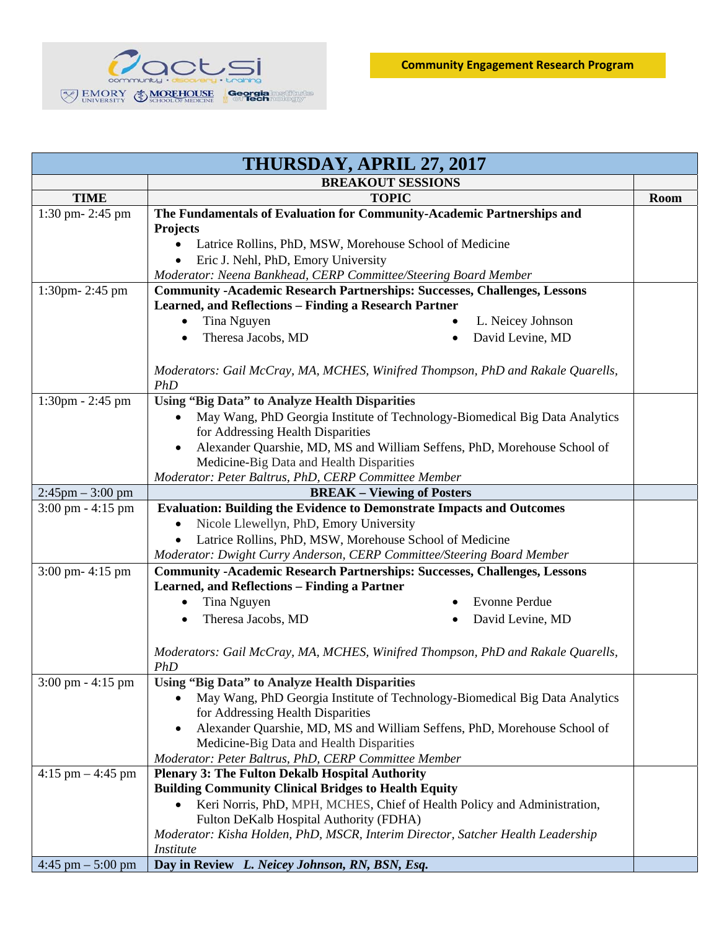

| THURSDAY, APRIL 27, 2017            |                                                                                                     |      |  |
|-------------------------------------|-----------------------------------------------------------------------------------------------------|------|--|
|                                     | <b>BREAKOUT SESSIONS</b>                                                                            |      |  |
| <b>TIME</b>                         | <b>TOPIC</b>                                                                                        | Room |  |
| 1:30 pm-2:45 pm                     | The Fundamentals of Evaluation for Community-Academic Partnerships and                              |      |  |
|                                     | <b>Projects</b>                                                                                     |      |  |
|                                     | Latrice Rollins, PhD, MSW, Morehouse School of Medicine<br>٠                                        |      |  |
|                                     | Eric J. Nehl, PhD, Emory University                                                                 |      |  |
|                                     | Moderator: Neena Bankhead, CERP Committee/Steering Board Member                                     |      |  |
| 1:30pm-2:45 pm                      | <b>Community -Academic Research Partnerships: Successes, Challenges, Lessons</b>                    |      |  |
|                                     | <b>Learned, and Reflections - Finding a Research Partner</b>                                        |      |  |
|                                     | Tina Nguyen<br>L. Neicey Johnson                                                                    |      |  |
|                                     | Theresa Jacobs, MD<br>David Levine, MD                                                              |      |  |
|                                     |                                                                                                     |      |  |
|                                     | Moderators: Gail McCray, MA, MCHES, Winifred Thompson, PhD and Rakale Quarells,                     |      |  |
|                                     | PhD                                                                                                 |      |  |
| 1:30pm - 2:45 pm                    | <b>Using "Big Data" to Analyze Health Disparities</b>                                               |      |  |
|                                     | May Wang, PhD Georgia Institute of Technology-Biomedical Big Data Analytics                         |      |  |
|                                     | for Addressing Health Disparities                                                                   |      |  |
|                                     | Alexander Quarshie, MD, MS and William Seffens, PhD, Morehouse School of<br>$\bullet$               |      |  |
|                                     | Medicine-Big Data and Health Disparities                                                            |      |  |
|                                     | Moderator: Peter Baltrus, PhD, CERP Committee Member                                                |      |  |
| $2:45$ pm $-3:00$ pm                | <b>BREAK - Viewing of Posters</b>                                                                   |      |  |
| $3:00 \text{ pm} - 4:15 \text{ pm}$ | <b>Evaluation: Building the Evidence to Demonstrate Impacts and Outcomes</b>                        |      |  |
|                                     | Nicole Llewellyn, PhD, Emory University                                                             |      |  |
|                                     | Latrice Rollins, PhD, MSW, Morehouse School of Medicine                                             |      |  |
|                                     | Moderator: Dwight Curry Anderson, CERP Committee/Steering Board Member                              |      |  |
| 3:00 pm- 4:15 pm                    | <b>Community -Academic Research Partnerships: Successes, Challenges, Lessons</b>                    |      |  |
|                                     | <b>Learned, and Reflections - Finding a Partner</b>                                                 |      |  |
|                                     | <b>Evonne Perdue</b><br>Tina Nguyen                                                                 |      |  |
|                                     | Theresa Jacobs, MD<br>David Levine, MD                                                              |      |  |
|                                     |                                                                                                     |      |  |
|                                     | Moderators: Gail McCray, MA, MCHES, Winifred Thompson, PhD and Rakale Quarells,                     |      |  |
|                                     | <b>PhD</b>                                                                                          |      |  |
| 3:00 pm - 4:15 pm                   | <b>Using "Big Data" to Analyze Health Disparities</b>                                               |      |  |
|                                     | May Wang, PhD Georgia Institute of Technology-Biomedical Big Data Analytics                         |      |  |
|                                     | for Addressing Health Disparities                                                                   |      |  |
|                                     | Alexander Quarshie, MD, MS and William Seffens, PhD, Morehouse School of<br>$\bullet$               |      |  |
|                                     | Medicine-Big Data and Health Disparities                                                            |      |  |
|                                     | Moderator: Peter Baltrus, PhD, CERP Committee Member                                                |      |  |
| $4:15$ pm $-4:45$ pm                | <b>Plenary 3: The Fulton Dekalb Hospital Authority</b>                                              |      |  |
|                                     | <b>Building Community Clinical Bridges to Health Equity</b>                                         |      |  |
|                                     | Keri Norris, PhD, MPH, MCHES, Chief of Health Policy and Administration,                            |      |  |
|                                     | Fulton DeKalb Hospital Authority (FDHA)                                                             |      |  |
|                                     | Moderator: Kisha Holden, PhD, MSCR, Interim Director, Satcher Health Leadership<br><i>Institute</i> |      |  |
|                                     |                                                                                                     |      |  |
| $4:45$ pm $-5:00$ pm                | Day in Review L. Neicey Johnson, RN, BSN, Esq.                                                      |      |  |